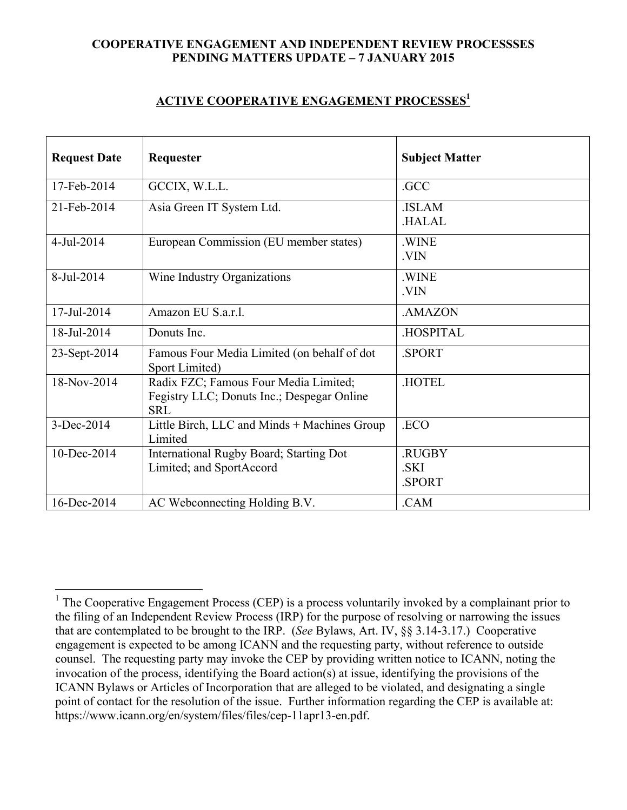## **COOPERATIVE ENGAGEMENT AND INDEPENDENT REVIEW PROCESSSES PENDING MATTERS UPDATE – 7 JANUARY 2015**

## **ACTIVE COOPERATIVE ENGAGEMENT PROCESSES1**

| <b>Request Date</b> | Requester                                                                                         | <b>Subject Matter</b>    |
|---------------------|---------------------------------------------------------------------------------------------------|--------------------------|
| 17-Feb-2014         | GCCIX, W.L.L.                                                                                     | .GCC                     |
| 21-Feb-2014         | Asia Green IT System Ltd.                                                                         | .ISLAM<br><b>HALAL</b>   |
| 4-Jul-2014          | European Commission (EU member states)                                                            | .WINE<br>.VIN            |
| 8-Jul-2014          | Wine Industry Organizations                                                                       | .WINE<br>.VIN            |
| 17-Jul-2014         | Amazon EU S.a.r.l.                                                                                | .AMAZON                  |
| 18-Jul-2014         | Donuts Inc.                                                                                       | .HOSPITAL                |
| 23-Sept-2014        | Famous Four Media Limited (on behalf of dot<br>Sport Limited)                                     | .SPORT                   |
| 18-Nov-2014         | Radix FZC; Famous Four Media Limited;<br>Fegistry LLC; Donuts Inc.; Despegar Online<br><b>SRL</b> | <b>HOTEL</b>             |
| 3-Dec-2014          | Little Birch, LLC and Minds + Machines Group<br>Limited                                           | .ECO                     |
| 10-Dec-2014         | International Rugby Board; Starting Dot<br>Limited; and SportAccord                               | .RUGBY<br>.SKI<br>.SPORT |
| 16-Dec-2014         | AC Webconnecting Holding B.V.                                                                     | .CAM                     |

<sup>&</sup>lt;sup>1</sup> The Cooperative Engagement Process (CEP) is a process voluntarily invoked by a complainant prior to the filing of an Independent Review Process (IRP) for the purpose of resolving or narrowing the issues that are contemplated to be brought to the IRP. (*See* Bylaws, Art. IV, §§ 3.14-3.17.) Cooperative engagement is expected to be among ICANN and the requesting party, without reference to outside counsel. The requesting party may invoke the CEP by providing written notice to ICANN, noting the invocation of the process, identifying the Board action(s) at issue, identifying the provisions of the ICANN Bylaws or Articles of Incorporation that are alleged to be violated, and designating a single point of contact for the resolution of the issue. Further information regarding the CEP is available at: https://www.icann.org/en/system/files/files/cep-11apr13-en.pdf.